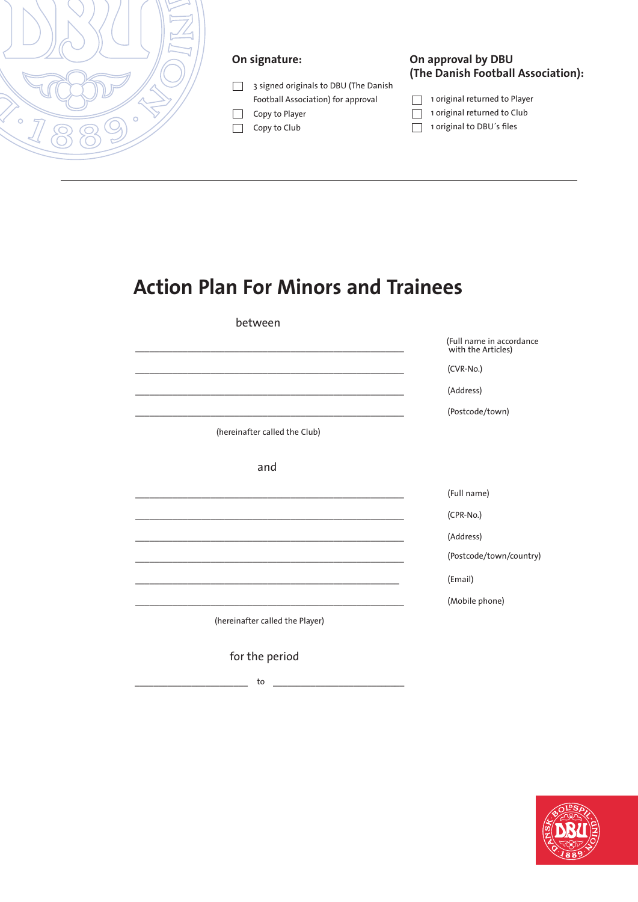

### **On signature:**

- 3 signed originals to DBU (The Danish Football Association) for approval
- $\Box$  Copy to Player
- Copy to Club

#### **On approval by DBU (The Danish Football Association):**

- 1 original returned to Player
- $\Box$  1 original returned to Club
- 1 original to DBU's files

# **Action Plan For Minors and Trainees**

between

(Full name in accordance with the Articles)

 $(CVR-No.)$ 

\_\_\_\_\_\_\_\_\_\_\_\_\_\_\_\_\_\_\_\_\_\_\_\_\_\_\_\_\_\_\_\_\_\_\_\_\_\_\_\_\_\_\_\_\_\_\_\_\_\_\_\_\_\_\_\_\_ (Address)

\_\_\_\_\_\_\_\_\_\_\_\_\_\_\_\_\_\_\_\_\_\_\_\_\_\_\_\_\_\_\_\_\_\_\_\_\_\_\_\_\_\_\_\_\_\_\_\_\_\_\_\_\_\_\_\_\_ (Postcode/town)

(hereinafter called the Club)

\_\_\_\_\_\_\_\_\_\_\_\_\_\_\_\_\_\_\_\_\_\_\_\_\_\_\_\_\_\_\_\_\_\_\_\_\_\_\_\_\_\_\_\_\_\_\_\_\_\_\_\_\_\_\_\_\_

and

\_\_\_\_\_\_\_\_\_\_\_\_\_\_\_\_\_\_\_\_\_\_\_\_\_\_\_\_\_\_\_\_\_\_\_\_\_\_\_\_\_\_\_\_\_\_\_\_\_\_\_\_\_\_\_\_\_ (Full name)

\_\_\_\_\_\_\_\_\_\_\_\_\_\_\_\_\_\_\_\_\_\_\_\_\_\_\_\_\_\_\_\_\_\_\_\_\_\_\_\_\_\_\_\_\_\_\_\_\_\_\_\_\_\_\_\_\_ (CPR-No.)

\_\_\_\_\_\_\_\_\_\_\_\_\_\_\_\_\_\_\_\_\_\_\_\_\_\_\_\_\_\_\_\_\_\_\_\_\_\_\_\_\_\_\_\_\_\_\_\_\_\_\_\_\_\_\_\_\_ (Address)

(Postcode/town/country)

\_ \_\_\_\_\_\_\_\_\_\_\_\_\_\_\_\_\_\_\_\_\_\_\_\_\_\_\_\_\_\_\_\_\_\_\_\_\_\_\_\_\_\_\_\_\_\_\_\_\_\_\_\_\_\_\_\_ (Email)

\_\_\_\_\_\_\_\_\_\_\_\_\_\_\_\_\_\_\_\_\_\_\_\_\_\_\_\_\_\_\_\_\_\_\_\_\_\_\_\_\_\_\_\_\_\_\_\_\_\_\_\_\_\_\_\_\_ (Mobile phone)

(hereinafter called the Player)

\_\_\_\_\_\_\_\_\_\_\_\_\_\_\_\_\_\_\_\_\_\_\_\_\_\_\_\_\_\_\_\_\_\_\_\_\_\_\_\_\_\_\_\_\_\_\_\_\_\_\_\_\_\_\_\_\_

for the period

\_\_\_\_\_\_\_\_\_\_\_\_\_\_\_\_\_\_\_\_\_\_\_\_ to \_\_\_\_\_\_\_\_\_\_\_\_\_\_\_\_\_\_\_\_\_\_\_\_\_\_\_\_

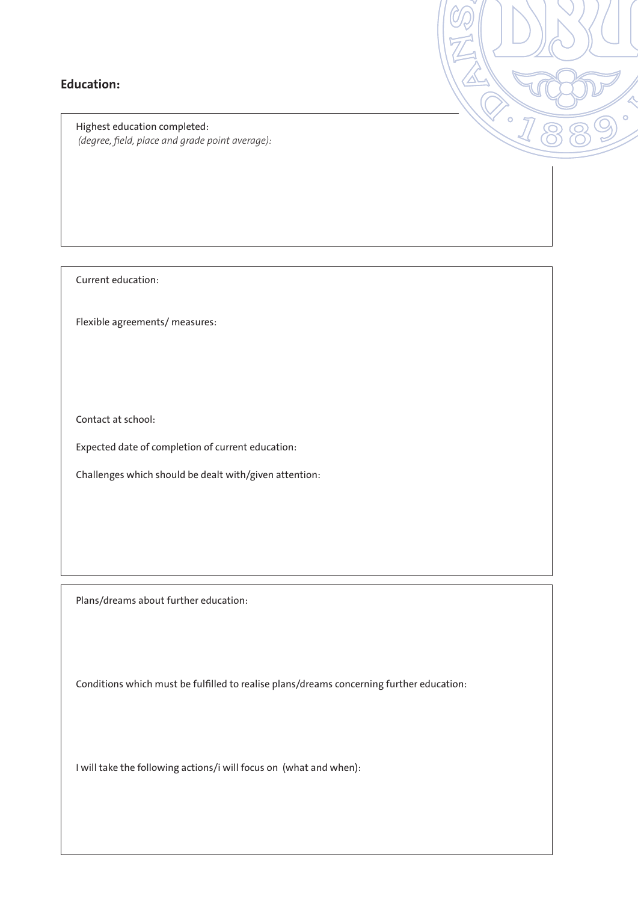### **Education:**

Highest education completed:  *(degree, field, place and grade point average):*  $\overline{\phantom{0}}$ 

Current education:

Flexible agreements/ measures:

Contact at school:

Expected date of completion of current education:

Challenges which should be dealt with/given attention:

Plans/dreams about further education:

Conditions which must be fulfilled to realise plans/dreams concerning further education:

I will take the following actions/i will focus on (what and when):